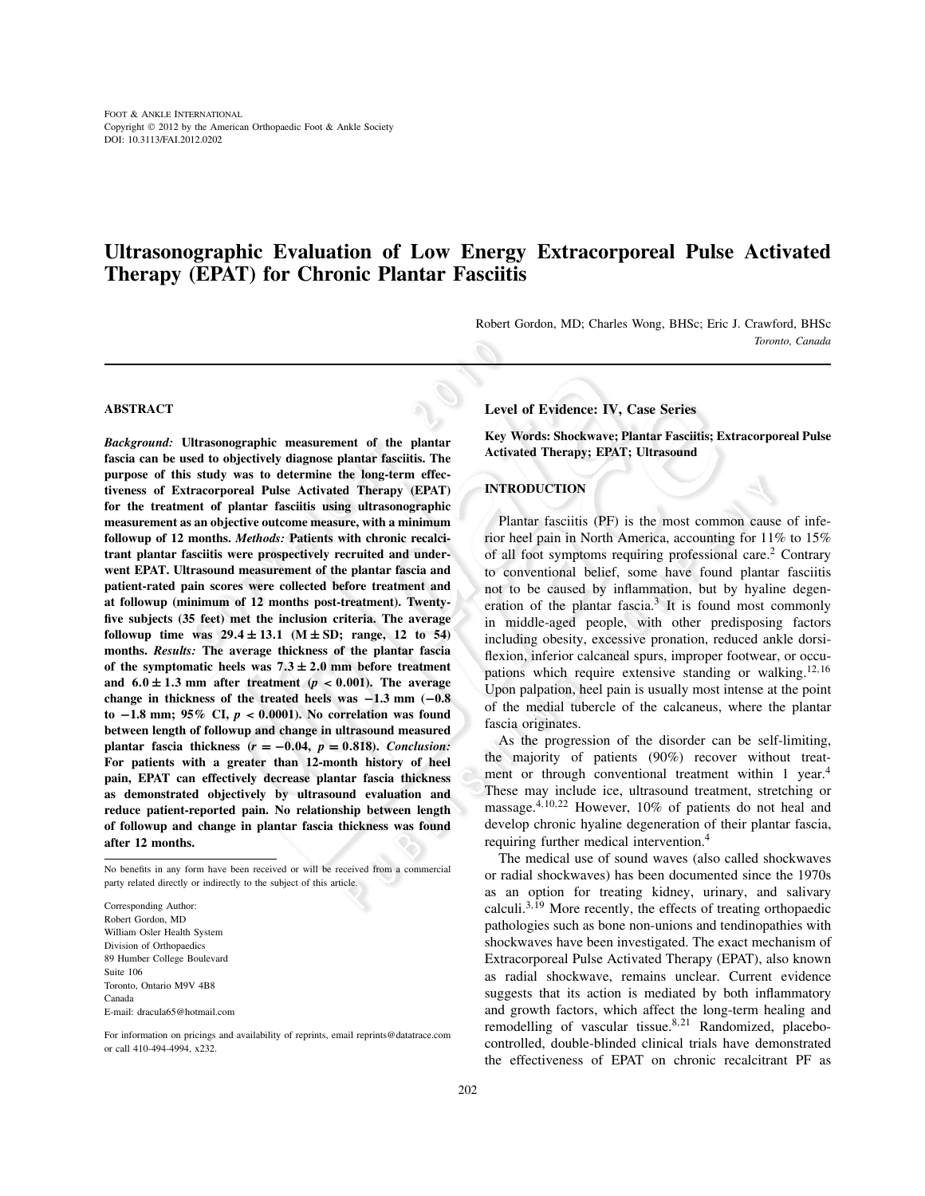# **Ultrasonographic Evaluation of Low Energy Extracorporeal Pulse Activated Therapy (EPAT) for Chronic Plantar Fasciitis**

Robert Gordon, MD; Charles Wong, BHSc; Eric J. Crawford, BHSc *Toronto, Canada*

# **ABSTRACT**

*Background:* **Ultrasonographic measurement of the plantar fascia can be used to objectively diagnose plantar fasciitis. The purpose of this study was to determine the long-term effectiveness of Extracorporeal Pulse Activated Therapy (EPAT) for the treatment of plantar fasciitis using ultrasonographic measurement as an objective outcome measure, with a minimum followup of 12 months.** *Methods:* **Patients with chronic recalcitrant plantar fasciitis were prospectively recruited and underwent EPAT. Ultrasound measurement of the plantar fascia and patient-rated pain scores were collected before treatment and at followup (minimum of 12 months post-treatment). Twentyfive subjects (35 feet) met the inclusion criteria. The average followup time was**  $29.4 \pm 13.1$  **(M**  $\pm$  **SD; range, 12 to 54) months.** *Results:* **The average thickness of the plantar fascia** of the symptomatic heels was  $7.3 \pm 2.0$  mm before treatment and  $6.0 \pm 1.3$  mm after treatment ( $p < 0.001$ ). The average **change in thickness of the treated heels was** −**1.3 mm (**−**0.8 to** −**1.8 mm; 95% CI,** *p* < **0**.**0001). No correlation was found between length of followup and change in ultrasound measured plantar fascia thickness**  $(r = -0.04, p = 0.818)$ **.** *Conclusion:* **For patients with a greater than 12-month history of heel pain, EPAT can effectively decrease plantar fascia thickness as demonstrated objectively by ultrasound evaluation and reduce patient-reported pain. No relationship between length of followup and change in plantar fascia thickness was found after 12 months.**

No benefits in any form have been received or will be received from a commercial party related directly or indirectly to the subject of this article.

Corresponding Author: Robert Gordon, MD William Osler Health System Division of Orthopaedics 89 Humber College Boulevard Suite 106 Toronto, Ontario M9V 4B8 Canada E-mail: dracula65@hotmail.com

For information on pricings and availability of reprints, email reprints@datatrace.com or call 410-494-4994, x232.

## **Level of Evidence: IV, Case Series**

**Key Words: Shockwave; Plantar Fasciitis; Extracorporeal Pulse Activated Therapy; EPAT; Ultrasound**

# **INTRODUCTION**

Plantar fasciitis (PF) is the most common cause of inferior heel pain in North America, accounting for 11% to 15% of all foot symptoms requiring professional care.<sup>2</sup> Contrary to conventional belief, some have found plantar fasciitis not to be caused by inflammation, but by hyaline degeneration of the plantar fascia.<sup>3</sup> It is found most commonly in middle-aged people, with other predisposing factors including obesity, excessive pronation, reduced ankle dorsiflexion, inferior calcaneal spurs, improper footwear, or occupations which require extensive standing or walking.<sup>12,16</sup> Upon palpation, heel pain is usually most intense at the point of the medial tubercle of the calcaneus, where the plantar fascia originates.

As the progression of the disorder can be self-limiting, the majority of patients (90%) recover without treatment or through conventional treatment within 1 year.<sup>4</sup> These may include ice, ultrasound treatment, stretching or massage.4,10,<sup>22</sup> However, 10% of patients do not heal and develop chronic hyaline degeneration of their plantar fascia, requiring further medical intervention.<sup>4</sup>

The medical use of sound waves (also called shockwaves or radial shockwaves) has been documented since the 1970s as an option for treating kidney, urinary, and salivary calculi.<sup>3,19</sup> More recently, the effects of treating orthopaedic pathologies such as bone non-unions and tendinopathies with shockwaves have been investigated. The exact mechanism of Extracorporeal Pulse Activated Therapy (EPAT), also known as radial shockwave, remains unclear. Current evidence suggests that its action is mediated by both inflammatory and growth factors, which affect the long-term healing and remodelling of vascular tissue.<sup>8,21</sup> Randomized, placebocontrolled, double-blinded clinical trials have demonstrated the effectiveness of EPAT on chronic recalcitrant PF as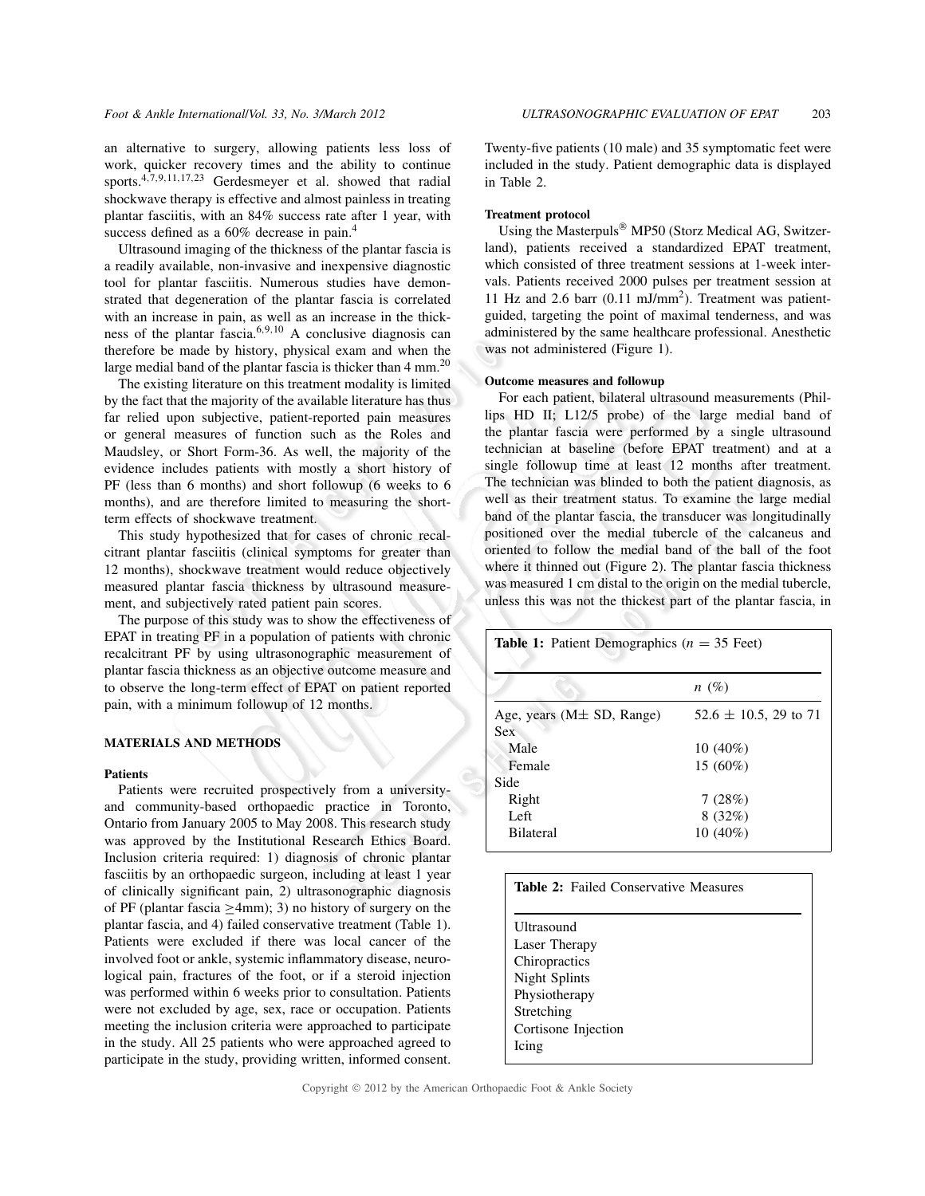an alternative to surgery, allowing patients less loss of work, quicker recovery times and the ability to continue sports.4,7,9,11,17,<sup>23</sup> Gerdesmeyer et al. showed that radial shockwave therapy is effective and almost painless in treating plantar fasciitis, with an 84% success rate after 1 year, with success defined as a 60% decrease in pain.<sup>4</sup>

Ultrasound imaging of the thickness of the plantar fascia is a readily available, non-invasive and inexpensive diagnostic tool for plantar fasciitis. Numerous studies have demonstrated that degeneration of the plantar fascia is correlated with an increase in pain, as well as an increase in the thickness of the plantar fascia.6,9,<sup>10</sup> A conclusive diagnosis can therefore be made by history, physical exam and when the large medial band of the plantar fascia is thicker than  $4 \text{ mm}^{20}$ 

The existing literature on this treatment modality is limited by the fact that the majority of the available literature has thus far relied upon subjective, patient-reported pain measures or general measures of function such as the Roles and Maudsley, or Short Form-36. As well, the majority of the evidence includes patients with mostly a short history of PF (less than 6 months) and short followup (6 weeks to 6 months), and are therefore limited to measuring the shortterm effects of shockwave treatment.

This study hypothesized that for cases of chronic recalcitrant plantar fasciitis (clinical symptoms for greater than 12 months), shockwave treatment would reduce objectively measured plantar fascia thickness by ultrasound measurement, and subjectively rated patient pain scores.

The purpose of this study was to show the effectiveness of EPAT in treating PF in a population of patients with chronic recalcitrant PF by using ultrasonographic measurement of plantar fascia thickness as an objective outcome measure and to observe the long-term effect of EPAT on patient reported pain, with a minimum followup of 12 months.

# **MATERIALS AND METHODS**

## **Patients**

Patients were recruited prospectively from a universityand community-based orthopaedic practice in Toronto, Ontario from January 2005 to May 2008. This research study was approved by the Institutional Research Ethics Board. Inclusion criteria required: 1) diagnosis of chronic plantar fasciitis by an orthopaedic surgeon, including at least 1 year of clinically significant pain, 2) ultrasonographic diagnosis of PF (plantar fascia ≥4mm); 3) no history of surgery on the plantar fascia, and 4) failed conservative treatment (Table 1). Patients were excluded if there was local cancer of the involved foot or ankle, systemic inflammatory disease, neurological pain, fractures of the foot, or if a steroid injection was performed within 6 weeks prior to consultation. Patients were not excluded by age, sex, race or occupation. Patients meeting the inclusion criteria were approached to participate in the study. All 25 patients who were approached agreed to participate in the study, providing written, informed consent.

Twenty-five patients (10 male) and 35 symptomatic feet were included in the study. Patient demographic data is displayed in Table 2.

### **Treatment protocol**

Using the Masterpuls $^{\circledR}$  MP50 (Storz Medical AG, Switzerland), patients received a standardized EPAT treatment, which consisted of three treatment sessions at 1-week intervals. Patients received 2000 pulses per treatment session at 11 Hz and 2.6 barr (0.11 mJ/mm<sup>2</sup> ). Treatment was patientguided, targeting the point of maximal tenderness, and was administered by the same healthcare professional. Anesthetic was not administered (Figure 1).

#### **Outcome measures and followup**

For each patient, bilateral ultrasound measurements (Phillips HD II; L12/5 probe) of the large medial band of the plantar fascia were performed by a single ultrasound technician at baseline (before EPAT treatment) and at a single followup time at least 12 months after treatment. The technician was blinded to both the patient diagnosis, as well as their treatment status. To examine the large medial band of the plantar fascia, the transducer was longitudinally positioned over the medial tubercle of the calcaneus and oriented to follow the medial band of the ball of the foot where it thinned out (Figure 2). The plantar fascia thickness was measured 1 cm distal to the origin on the medial tubercle, unless this was not the thickest part of the plantar fascia, in

| <b>Table 1:</b> Patient Demographics ( $n = 35$ Feet) |                            |  |
|-------------------------------------------------------|----------------------------|--|
|                                                       | $n(\%)$                    |  |
| Age, years ( $M\pm SD$ , Range)                       | $52.6 \pm 10.5$ , 29 to 71 |  |
| <b>Sex</b>                                            |                            |  |
| Male                                                  | $10(40\%)$                 |  |
| Female                                                | $15(60\%)$                 |  |
| Side                                                  |                            |  |
| Right                                                 | 7(28%)                     |  |
| Left                                                  | 8(32%)                     |  |
| <b>Bilateral</b>                                      | $10(40\%)$                 |  |

| <b>Table 2:</b> Failed Conservative Measures |  |
|----------------------------------------------|--|
|                                              |  |
| Ultrasound                                   |  |
| Laser Therapy                                |  |
| Chiropractics                                |  |
| Night Splints                                |  |
| Physiotherapy                                |  |
| Stretching                                   |  |
| Cortisone Injection                          |  |
| Icing                                        |  |
|                                              |  |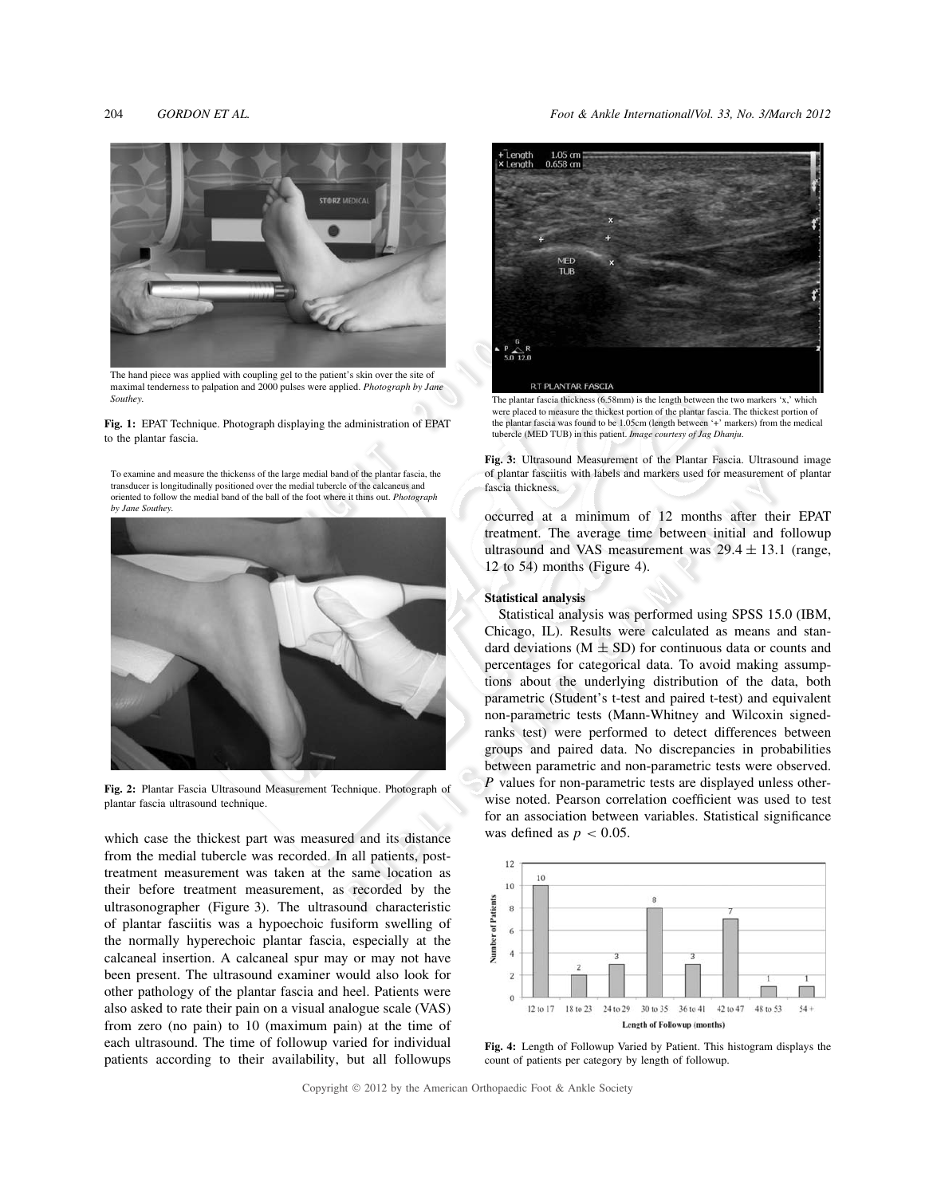204 *GORDON ET AL. Foot & Ankle International*/*Vol. 33, No. 3/March 2012*



The hand piece was applied with coupling gel to the patient's skin over the site of maximal tenderness to palpation and 2000 pulses were applied. *Photograph by Jane Southey.*

**Fig. 1:** EPAT Technique. Photograph displaying the administration of EPAT to the plantar fascia.

To examine and measure the thickenss of the large medial band of the plantar fascia, the transducer is longitudinally positioned over the medial tubercle of the calcaneus and oriented to follow the medial band of the ball of the foot where it thins out. *Photograph by Jane Southey.*



**Fig. 2:** Plantar Fascia Ultrasound Measurement Technique. Photograph of plantar fascia ultrasound technique.

which case the thickest part was measured and its distance from the medial tubercle was recorded. In all patients, posttreatment measurement was taken at the same location as their before treatment measurement, as recorded by the ultrasonographer (Figure 3). The ultrasound characteristic of plantar fasciitis was a hypoechoic fusiform swelling of the normally hyperechoic plantar fascia, especially at the calcaneal insertion. A calcaneal spur may or may not have been present. The ultrasound examiner would also look for other pathology of the plantar fascia and heel. Patients were also asked to rate their pain on a visual analogue scale (VAS) from zero (no pain) to 10 (maximum pain) at the time of each ultrasound. The time of followup varied for individual patients according to their availability, but all followups



The plantar fascia thickness (6.58mm) is the length between the two markers 'x,' which were placed to measure the thickest portion of the plantar fascia. The thickest portion of the plantar fascia was found to be 1.05cm (length between '+' markers) from the medical tubercle (MED TUB) in this patient. *Image courtesy of Jag Dhanju*.

**Fig. 3:** Ultrasound Measurement of the Plantar Fascia. Ultrasound image of plantar fasciitis with labels and markers used for measurement of plantar fascia thickness.

occurred at a minimum of 12 months after their EPAT treatment. The average time between initial and followup ultrasound and VAS measurement was  $29.4 \pm 13.1$  (range, 12 to 54) months (Figure 4).

# **Statistical analysis**

Statistical analysis was performed using SPSS 15.0 (IBM, Chicago, IL). Results were calculated as means and standard deviations ( $M \pm SD$ ) for continuous data or counts and percentages for categorical data. To avoid making assumptions about the underlying distribution of the data, both parametric (Student's t-test and paired t-test) and equivalent non-parametric tests (Mann-Whitney and Wilcoxin signedranks test) were performed to detect differences between groups and paired data. No discrepancies in probabilities between parametric and non-parametric tests were observed. *P* values for non-parametric tests are displayed unless otherwise noted. Pearson correlation coefficient was used to test for an association between variables. Statistical significance was defined as  $p < 0.05$ .



**Fig. 4:** Length of Followup Varied by Patient. This histogram displays the count of patients per category by length of followup.

Copyright © 2012 by the American Orthopaedic Foot & Ankle Society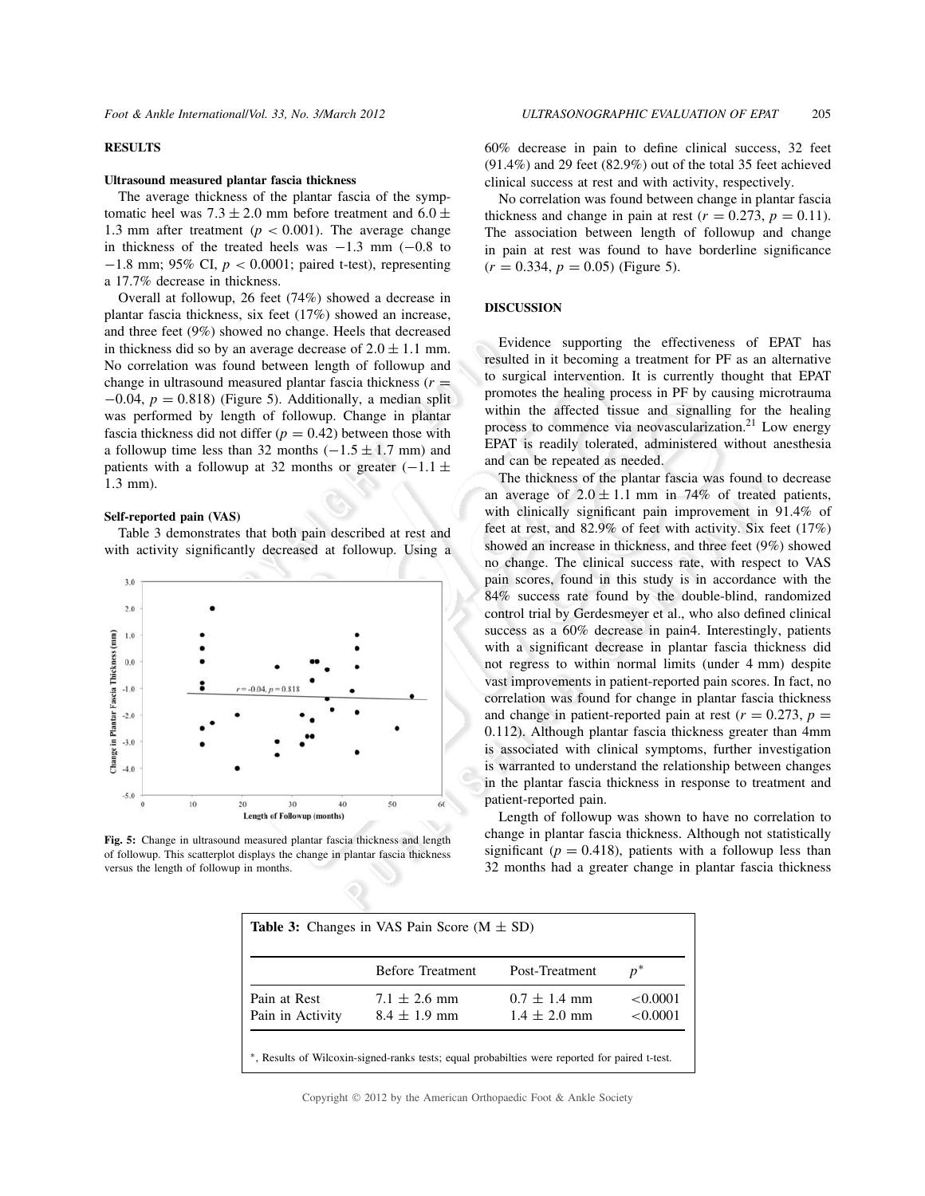# **RESULTS**

#### **Ultrasound measured plantar fascia thickness**

The average thickness of the plantar fascia of the symptomatic heel was  $7.3 \pm 2.0$  mm before treatment and  $6.0 \pm$ 1.3 mm after treatment ( $p < 0.001$ ). The average change in thickness of the treated heels was  $-1.3$  mm  $(-0.8$  to −1.8 mm; 95% CI, *p* < 0.0001; paired t-test), representing a 17.7% decrease in thickness.

Overall at followup, 26 feet (74%) showed a decrease in plantar fascia thickness, six feet (17%) showed an increase, and three feet (9%) showed no change. Heels that decreased in thickness did so by an average decrease of  $2.0 \pm 1.1$  mm. No correlation was found between length of followup and change in ultrasound measured plantar fascia thickness  $(r =$  $-0.04$ ,  $p = 0.818$ ) (Figure 5). Additionally, a median split was performed by length of followup. Change in plantar fascia thickness did not differ  $(p = 0.42)$  between those with a followup time less than 32 months  $(-1.5 \pm 1.7 \text{ mm})$  and patients with a followup at 32 months or greater  $(-1.1 \pm$ 1.3 mm).

#### **Self-reported pain (VAS)**

Table 3 demonstrates that both pain described at rest and with activity significantly decreased at followup. Using a



**Fig. 5:** Change in ultrasound measured plantar fascia thickness and length of followup. This scatterplot displays the change in plantar fascia thickness versus the length of followup in months.

60% decrease in pain to define clinical success, 32 feet (91.4%) and 29 feet (82.9%) out of the total 35 feet achieved clinical success at rest and with activity, respectively.

No correlation was found between change in plantar fascia thickness and change in pain at rest ( $r = 0.273$ ,  $p = 0.11$ ). The association between length of followup and change in pain at rest was found to have borderline significance  $(r = 0.334, p = 0.05)$  (Figure 5).

# **DISCUSSION**

Evidence supporting the effectiveness of EPAT has resulted in it becoming a treatment for PF as an alternative to surgical intervention. It is currently thought that EPAT promotes the healing process in PF by causing microtrauma within the affected tissue and signalling for the healing process to commence via neovascularization.<sup>21</sup> Low energy EPAT is readily tolerated, administered without anesthesia and can be repeated as needed.

The thickness of the plantar fascia was found to decrease an average of  $2.0 \pm 1.1$  mm in 74% of treated patients, with clinically significant pain improvement in 91.4% of feet at rest, and 82.9% of feet with activity. Six feet (17%) showed an increase in thickness, and three feet (9%) showed no change. The clinical success rate, with respect to VAS pain scores, found in this study is in accordance with the 84% success rate found by the double-blind, randomized control trial by Gerdesmeyer et al., who also defined clinical success as a 60% decrease in pain4. Interestingly, patients with a significant decrease in plantar fascia thickness did not regress to within normal limits (under 4 mm) despite vast improvements in patient-reported pain scores. In fact, no correlation was found for change in plantar fascia thickness and change in patient-reported pain at rest ( $r = 0.273$ ,  $p =$ 0.112). Although plantar fascia thickness greater than 4mm is associated with clinical symptoms, further investigation is warranted to understand the relationship between changes in the plantar fascia thickness in response to treatment and patient-reported pain.

Length of followup was shown to have no correlation to change in plantar fascia thickness. Although not statistically significant ( $p = 0.418$ ), patients with a followup less than 32 months had a greater change in plantar fascia thickness

|                  | <b>Before Treatment</b> | Post-Treatment   | $p^*$    |
|------------------|-------------------------|------------------|----------|
| Pain at Rest     | $7.1 \pm 2.6$ mm        | $0.7 \pm 1.4$ mm | < 0.0001 |
| Pain in Activity | $8.4 \pm 1.9$ mm        | $1.4 \pm 2.0$ mm | < 0.0001 |

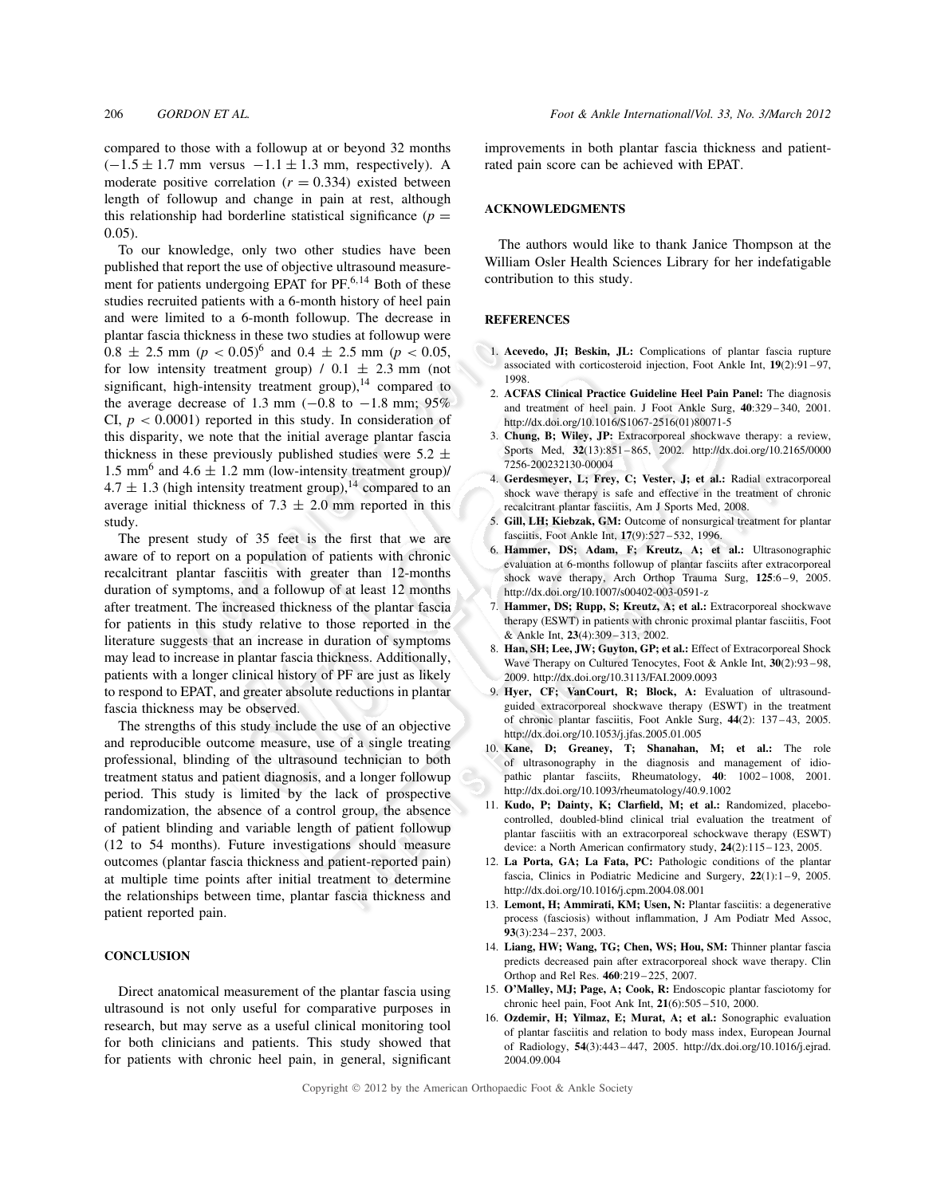compared to those with a followup at or beyond 32 months  $(-1.5 \pm 1.7 \text{ mm}$  versus  $-1.1 \pm 1.3 \text{ mm}$ , respectively). A moderate positive correlation  $(r = 0.334)$  existed between length of followup and change in pain at rest, although this relationship had borderline statistical significance  $(p =$ 0.05).

To our knowledge, only two other studies have been published that report the use of objective ultrasound measurement for patients undergoing EPAT for  $PF^{6,14}$  Both of these studies recruited patients with a 6-month history of heel pain and were limited to a 6-month followup. The decrease in plantar fascia thickness in these two studies at followup were  $0.8 \pm 2.5$  mm (*p* <  $0.05$ )<sup>6</sup> and  $0.4 \pm 2.5$  mm (*p* <  $0.05$ , for low intensity treatment group)  $/ 0.1 \pm 2.3$  mm (not significant, high-intensity treatment group), $14$  compared to the average decrease of 1.3 mm  $(-0.8 \text{ to } -1.8 \text{ mm})$ ; 95% CI,  $p < 0.0001$ ) reported in this study. In consideration of this disparity, we note that the initial average plantar fascia thickness in these previously published studies were  $5.2 \pm$ 1.5 mm<sup>6</sup> and 4.6  $\pm$  1.2 mm (low-intensity treatment group)/  $4.7 \pm 1.3$  (high intensity treatment group),<sup>14</sup> compared to an average initial thickness of 7.3  $\pm$  2.0 mm reported in this study.

The present study of 35 feet is the first that we are aware of to report on a population of patients with chronic recalcitrant plantar fasciitis with greater than 12-months duration of symptoms, and a followup of at least 12 months after treatment. The increased thickness of the plantar fascia for patients in this study relative to those reported in the literature suggests that an increase in duration of symptoms may lead to increase in plantar fascia thickness. Additionally, patients with a longer clinical history of PF are just as likely to respond to EPAT, and greater absolute reductions in plantar fascia thickness may be observed.

The strengths of this study include the use of an objective and reproducible outcome measure, use of a single treating professional, blinding of the ultrasound technician to both treatment status and patient diagnosis, and a longer followup period. This study is limited by the lack of prospective randomization, the absence of a control group, the absence of patient blinding and variable length of patient followup (12 to 54 months). Future investigations should measure outcomes (plantar fascia thickness and patient-reported pain) at multiple time points after initial treatment to determine the relationships between time, plantar fascia thickness and patient reported pain.

## **CONCLUSION**

Direct anatomical measurement of the plantar fascia using ultrasound is not only useful for comparative purposes in research, but may serve as a useful clinical monitoring tool for both clinicians and patients. This study showed that for patients with chronic heel pain, in general, significant improvements in both plantar fascia thickness and patientrated pain score can be achieved with EPAT.

## **ACKNOWLEDGMENTS**

The authors would like to thank Janice Thompson at the William Osler Health Sciences Library for her indefatigable contribution to this study.

#### **REFERENCES**

- 1. **Acevedo, JI; Beskin, JL:** Complications of plantar fascia rupture associated with corticosteroid injection, Foot Ankle Int, **19**(2):91 –97, 1998.
- 2. **ACFAS Clinical Practice Guideline Heel Pain Panel:** The diagnosis and treatment of heel pain. J Foot Ankle Surg, **40**:329 –340, 2001. http://dx.doi.org/10.1016/S1067-2516(01)80071-5
- 3. **Chung, B; Wiley, JP:** Extracorporeal shockwave therapy: a review, Sports Med, **32**(13):851 –865, 2002. http://dx.doi.org/10.2165/0000 7256-200232130-00004
- 4. **Gerdesmeyer, L; Frey, C; Vester, J; et al.:** Radial extracorporeal shock wave therapy is safe and effective in the treatment of chronic recalcitrant plantar fasciitis, Am J Sports Med, 2008.
- 5. **Gill, LH; Kiebzak, GM:** Outcome of nonsurgical treatment for plantar fasciitis, Foot Ankle Int, **17**(9):527 –532, 1996.
- 6. **Hammer, DS; Adam, F; Kreutz, A; et al.:** Ultrasonographic evaluation at 6-months followup of plantar fasciits after extracorporeal shock wave therapy, Arch Orthop Trauma Surg, **125**:6 –9, 2005. http://dx.doi.org/10.1007/s00402-003-0591-z
- Hammer, DS; Rupp, S; Kreutz, A; et al.: Extracorporeal shockwave therapy (ESWT) in patients with chronic proximal plantar fasciitis, Foot & Ankle Int, **23**(4):309 –313, 2002.
- 8. **Han, SH; Lee, JW; Guyton, GP; et al.:** Effect of Extracorporeal Shock Wave Therapy on Cultured Tenocytes, Foot & Ankle Int, **30**(2):93 –98, 2009. http://dx.doi.org/10.3113/FAI.2009.0093
- 9. **Hyer, CF; VanCourt, R; Block, A:** Evaluation of ultrasoundguided extracorporeal shockwave therapy (ESWT) in the treatment of chronic plantar fasciitis, Foot Ankle Surg, **44**(2): 137 –43, 2005. http://dx.doi.org/10.1053/j.jfas.2005.01.005
- 10. **Kane, D; Greaney, T; Shanahan, M; et al.:** The role of ultrasonography in the diagnosis and management of idiopathic plantar fasciits, Rheumatology, **40**: 1002 –1008, 2001. http://dx.doi.org/10.1093/rheumatology/40.9.1002
- 11. **Kudo, P; Dainty, K; Clarfield, M; et al.:** Randomized, placebocontrolled, doubled-blind clinical trial evaluation the treatment of plantar fasciitis with an extracorporeal schockwave therapy (ESWT) device: a North American confirmatory study, **24**(2):115 –123, 2005.
- 12. **La Porta, GA; La Fata, PC:** Pathologic conditions of the plantar fascia, Clinics in Podiatric Medicine and Surgery, **22**(1):1 –9, 2005. http://dx.doi.org/10.1016/j.cpm.2004.08.001
- 13. **Lemont, H; Ammirati, KM; Usen, N:** Plantar fasciitis: a degenerative process (fasciosis) without inflammation, J Am Podiatr Med Assoc, **93**(3):234 –237, 2003.
- 14. **Liang, HW; Wang, TG; Chen, WS; Hou, SM:** Thinner plantar fascia predicts decreased pain after extracorporeal shock wave therapy. Clin Orthop and Rel Res. **460**:219 –225, 2007.
- 15. **O'Malley, MJ; Page, A; Cook, R:** Endoscopic plantar fasciotomy for chronic heel pain, Foot Ank Int, **21**(6):505 –510, 2000.
- 16. **Ozdemir, H; Yilmaz, E; Murat, A; et al.:** Sonographic evaluation of plantar fasciitis and relation to body mass index, European Journal of Radiology, **54**(3):443 –447, 2005. http://dx.doi.org/10.1016/j.ejrad. 2004.09.004